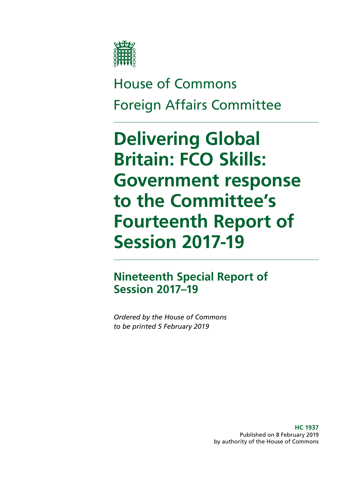

House of Commons Foreign Affairs Committee

# **Delivering Global Britain: FCO Skills: Government response to the Committee's Fourteenth Report of Session 2017-19**

# **Nineteenth Special Report of Session 2017–19**

*Ordered by the House of Commons to be printed 5 February 2019*

> **HC 1937** Published on 8 February 2019 by authority of the House of Commons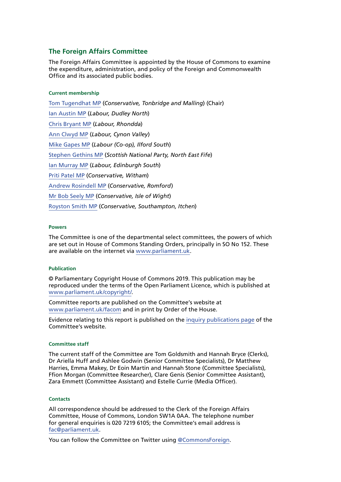### **The Foreign Affairs Committee**

The Foreign Affairs Committee is appointed by the House of Commons to examine the expenditure, administration, and policy of the Foreign and Commonwealth Office and its associated public bodies.

### **Current membership**

[Tom Tugendhat MP](https://www.parliament.uk/biographies/commons/tom-tugendhat/4462) (*Conservative, Tonbridge and Malling*) (Chair) [Ian Austin MP](https://www.parliament.uk/biographies/commons/ian-austin/1511) (*Labour, Dudley North*) [Chris Bryant MP](https://www.parliament.uk/biographies/commons/chris-bryant/1446) (*Labour, Rhondda*) [Ann Clwyd MP](https://www.parliament.uk/biographies/commons/ann-clwyd/553) (*Labour, Cynon Valley*) [Mike Gapes MP](https://www.parliament.uk/biographies/commons/mike-gapes/184) (*Labour (Co-op), Ilford South*) [Stephen Gethins MP](https://www.parliament.uk/biographies/commons/stephen-gethins/4434) (*Scottish National Party, North East Fife*) [Ian Murray MP](https://www.parliament.uk/biographies/commons/ian-murray/3966) (*Labour, Edinburgh South*) [Priti Patel MP](https://www.parliament.uk/biographies/commons/priti-patel/4066) (*Conservative, Witham*) [Andrew Rosindell MP](https://www.parliament.uk/biographies/commons/andrew-rosindell/1447) (*Conservative, Romford*) [Mr Bob Seely MP](https://www.parliament.uk/biographies/commons/mr-bob-seely/4681) (*Conservative, Isle of Wight*) [Royston Smith MP](https://www.parliament.uk/biographies/commons/royston-smith/4478) (*Conservative, Southampton, Itchen*)

### **Powers**

The Committee is one of the departmental select committees, the powers of which are set out in House of Commons Standing Orders, principally in SO No 152. These are available on the internet via [www.parliament.uk.](https://www.parliament.uk/)

### **Publication**

© Parliamentary Copyright House of Commons 2019. This publication may be reproduced under the terms of the Open Parliament Licence, which is published at [www.parliament.uk/copyright/.](http://www.parliament.uk/copyright/)

Committee reports are published on the Committee's website at [www.parliament.uk/facom](https://www.parliament.uk/business/committees/committees-a-z/commons-select/foreign-affairs-committee/) and in print by Order of the House.

Evidence relating to this report is published on the [inquiry publications page](https://www.parliament.uk/business/committees/committees-a-z/commons-select/foreign-affairs-committee/inquiries1/parliament-2017/global-britain-fco-skills-17-19/publications/) of the Committee's website.

### **Committee staff**

The current staff of the Committee are Tom Goldsmith and Hannah Bryce (Clerks), Dr Ariella Huff and Ashlee Godwin (Senior Committee Specialists), Dr Matthew Harries, Emma Makey, Dr Eoin Martin and Hannah Stone (Committee Specialists), Ffion Morgan (Committee Researcher), Clare Genis (Senior Committee Assistant), Zara Emmett (Committee Assistant) and Estelle Currie (Media Officer).

### **Contacts**

All correspondence should be addressed to the Clerk of the Foreign Affairs Committee, House of Commons, London SW1A 0AA. The telephone number for general enquiries is 020 7219 6105; the Committee's email address is [fac@parliament.uk.](mailto:fac%40parliament.uk?subject=)

You can follow the Committee on Twitter using [@CommonsForeign.](https://twitter.com/CommonsForeign?ref_src=twsrc%5Egoogle%7Ctwcamp%5Eserp%7Ctwgr%5Eauthor)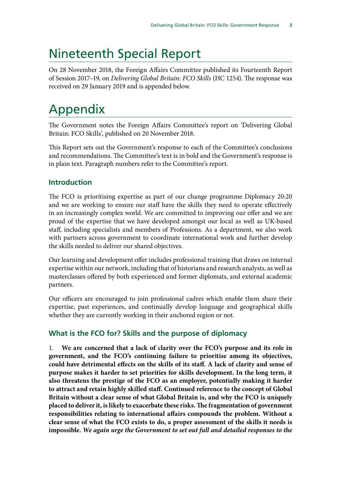# Nineteenth Special Report

On 28 November 2018, the Foreign Affairs Committee published its Fourteenth Report of Session 2017–19, on *Delivering Global Britain: FCO Skills* (HC 1254). The response was received on 29 January 2019 and is appended below.

# Appendix

The Government notes the Foreign Affairs Committee's report on 'Delivering Global Britain: FCO Skills', published on 20 November 2018.

This Report sets out the Government's response to each of the Committee's conclusions and recommendations. The Committee's text is in bold and the Government's response is in plain text. Paragraph numbers refer to the Committee's report.

# **Introduction**

The FCO is prioritising expertise as part of our change programme Diplomacy 20:20 and we are working to ensure our staff have the skills they need to operate effectively in an increasingly complex world. We are committed to improving our offer and we are proud of the expertise that we have developed amongst our local as well as UK-based staff, including specialists and members of Professions. As a department, we also work with partners across government to coordinate international work and further develop the skills needed to deliver our shared objectives.

Our learning and development offer includes professional training that draws on internal expertise within our network, including that of historians and research analysts, as well as masterclasses offered by both experienced and former diplomats, and external academic partners.

Our officers are encouraged to join professional cadres which enable them share their expertise, past experiences, and continually develop language and geographical skills whether they are currently working in their anchored region or not.

# **What is the FCO for? Skills and the purpose of diplomacy**

1. **We are concerned that a lack of clarity over the FCO's purpose and its role in government, and the FCO's continuing failure to prioritise among its objectives, could have detrimental effects on the skills of its staff. A lack of clarity and sense of purpose makes it harder to set priorities for skills development. In the long term, it also threatens the prestige of the FCO as an employer, potentially making it harder to attract and retain highly skilled staff. Continued reference to the concept of Global Britain without a clear sense of what Global Britain is, and why the FCO is uniquely placed to deliver it, is likely to exacerbate these risks. The fragmentation of government responsibilities relating to international affairs compounds the problem. Without a clear sense of what the FCO exists to do, a proper assessment of the skills it needs is impossible.** *We again urge the Government to set out full and detailed responses to the*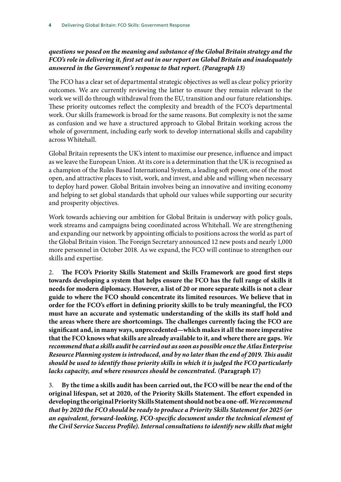## *questions we posed on the meaning and substance of the Global Britain strategy and the FCO's role in delivering it, first set out in our report on Global Britain and inadequately answered in the Government's response to that report. (Paragraph 13)*

The FCO has a clear set of departmental strategic objectives as well as clear policy priority outcomes. We are currently reviewing the latter to ensure they remain relevant to the work we will do through withdrawal from the EU, transition and our future relationships. These priority outcomes reflect the complexity and breadth of the FCO's departmental work. Our skills framework is broad for the same reasons. But complexity is not the same as confusion and we have a structured approach to Global Britain working across the whole of government, including early work to develop international skills and capability across Whitehall.

Global Britain represents the UK's intent to maximise our presence, influence and impact as we leave the European Union. At its core is a determination that the UK is recognised as a champion of the Rules Based International System, a leading soft power, one of the most open, and attractive places to visit, work, and invest, and able and willing when necessary to deploy hard power. Global Britain involves being an innovative and inviting economy and helping to set global standards that uphold our values while supporting our security and prosperity objectives.

Work towards achieving our ambition for Global Britain is underway with policy goals, work streams and campaigns being coordinated across Whitehall. We are strengthening and expanding our network by appointing officials to positions across the world as part of the Global Britain vision. The Foreign Secretary announced 12 new posts and nearly 1,000 more personnel in October 2018. As we expand, the FCO will continue to strengthen our skills and expertise.

2. **The FCO's Priority Skills Statement and Skills Framework are good first steps towards developing a system that helps ensure the FCO has the full range of skills it needs for modern diplomacy. However, a list of 20 or more separate skills is not a clear guide to where the FCO should concentrate its limited resources. We believe that in order for the FCO's effort in defining priority skills to be truly meaningful, the FCO must have an accurate and systematic understanding of the skills its staff hold and the areas where there are shortcomings. The challenges currently facing the FCO are significant and, in many ways, unprecedented—which makes it all the more imperative that the FCO knows what skills are already available to it, and where there are gaps.** *We recommend that a skills audit be carried out as soon as possible once the Atlas Enterprise Resource Planning system is introduced, and by no later than the end of 2019. This audit should be used to identify those priority skills in which it is judged the FCO particularly lacks capacity, and where resources should be concentrated.* **(Paragraph 17)**

3. **By the time a skills audit has been carried out, the FCO will be near the end of the original lifespan, set at 2020, of the Priority Skills Statement. The effort expended in developing the original Priority Skills Statement should not be a one-off.***We recommend that by 2020 the FCO should be ready to produce a Priority Skills Statement for 2025 (or an equivalent, forward-looking, FCO-specific document under the technical element of the Civil Service Success Profile). Internal consultations to identify new skills that might*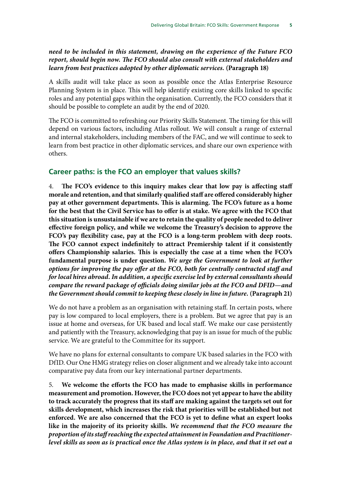### *need to be included in this statement, drawing on the experience of the Future FCO report, should begin now. The FCO should also consult with external stakeholders and learn from best practices adopted by other diplomatic services.* **(Paragraph 18)**

A skills audit will take place as soon as possible once the Atlas Enterprise Resource Planning System is in place. This will help identify existing core skills linked to specific roles and any potential gaps within the organisation. Currently, the FCO considers that it should be possible to complete an audit by the end of 2020.

The FCO is committed to refreshing our Priority Skills Statement. The timing for this will depend on various factors, including Atlas rollout. We will consult a range of external and internal stakeholders, including members of the FAC, and we will continue to seek to learn from best practice in other diplomatic services, and share our own experience with others.

### **Career paths: is the FCO an employer that values skills?**

4. **The FCO's evidence to this inquiry makes clear that low pay is affecting staff morale and retention, and that similarly qualified staff are offered considerably higher pay at other government departments. This is alarming. The FCO's future as a home for the best that the Civil Service has to offer is at stake. We agree with the FCO that this situation is unsustainable if we are to retain the quality of people needed to deliver effective foreign policy, and while we welcome the Treasury's decision to approve the FCO's pay flexibility case, pay at the FCO is a long-term problem with deep roots. The FCO cannot expect indefinitely to attract Premiership talent if it consistently offers Championship salaries. This is especially the case at a time when the FCO's fundamental purpose is under question.** *We urge the Government to look at further options for improving the pay offer at the FCO, both for centrally contracted staff and for local hires abroad. In addition, a specific exercise led by external consultants should compare the reward package of officials doing similar jobs at the FCO and DFID—and the Government should commit to keeping these closely in line in future.* **(Paragraph 21)**

We do not have a problem as an organisation with retaining staff. In certain posts, where pay is low compared to local employers, there is a problem. But we agree that pay is an issue at home and overseas, for UK based and local staff. We make our case persistently and patiently with the Treasury, acknowledging that pay is an issue for much of the public service. We are grateful to the Committee for its support.

We have no plans for external consultants to compare UK based salaries in the FCO with DfID. Our One HMG strategy relies on closer alignment and we already take into account comparative pay data from our key international partner departments.

5. **We welcome the efforts the FCO has made to emphasise skills in performance measurement and promotion. However, the FCO does not yet appear to have the ability to track accurately the progress that its staff are making against the targets set out for skills development, which increases the risk that priorities will be established but not enforced. We are also concerned that the FCO is yet to define what an expert looks like in the majority of its priority skills.** *We recommend that the FCO measure the proportion of its staff reaching the expected attainment in Foundation and Practitionerlevel skills as soon as is practical once the Atlas system is in place, and that it set out a*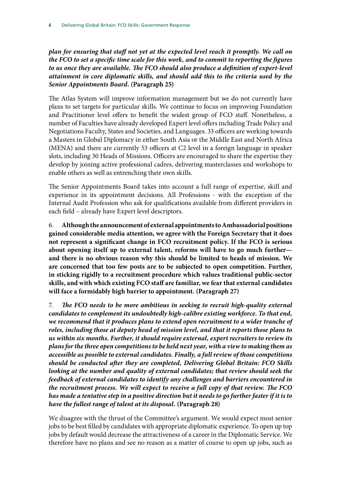*plan for ensuring that staff not yet at the expected level reach it promptly. We call on the FCO to set a specific time scale for this work, and to commit to reporting the figures to us once they are available. The FCO should also produce a definition of expert-level attainment in core diplomatic skills, and should add this to the criteria used by the Senior Appointments Board.* **(Paragraph 25)**

The Atlas System will improve information management but we do not currently have plans to set targets for particular skills. We continue to focus on improving Foundation and Practitioner level offers to benefit the widest group of FCO staff. Nonetheless, a number of Faculties have already developed Expert level offers including Trade Policy and Negotiations Faculty, States and Societies, and Languages. 33 officers are working towards a Masters in Global Diplomacy in either South Asia or the Middle East and North Africa (MENA) and there are currently 53 officers at C2 level in a foreign language in speaker slots, including 30 Heads of Missions. Officers are encouraged to share the expertise they develop by joining active professional cadres, delivering masterclasses and workshops to enable others as well as entrenching their own skills.

The Senior Appointments Board takes into account a full range of expertise, skill and experience in its appointment decisions. All Professions - with the exception of the Internal Audit Profession who ask for qualifications available from different providers in each field – already have Expert level descriptors.

6. **Although the announcement of external appointments to Ambassadorial positions gained considerable media attention, we agree with the Foreign Secretary that it does not represent a significant change in FCO recruitment policy. If the FCO is serious about opening itself up to external talent, reforms will have to go much further and there is no obvious reason why this should be limited to heads of mission. We are concerned that too few posts are to be subjected to open competition. Further, in sticking rigidly to a recruitment procedure which values traditional public-sector skills, and with which existing FCO staff are familiar, we fear that external candidates will face a formidably high barrier to appointment. (Paragraph 27)**

7. *The FCO needs to be more ambitious in seeking to recruit high-quality external candidates to complement its undoubtedly high-calibre existing workforce. To that end,*  we recommend that it produces plans to extend open recruitment to a wider tranche of *roles, including those at deputy head of mission level, and that it reports those plans to us within six months. Further, it should require external, expert recruiters to review its plans for the three open competitions to be held next year, with a view to making them as accessible as possible to external candidates. Finally, a full review of those competitions should be conducted after they are completed, Delivering Global Britain: FCO Skills*  looking at the number and quality of external candidates; that review should seek the *feedback of external candidates to identify any challenges and barriers encountered in the recruitment process. We will expect to receive a full copy of that review. The FCO has made a tentative step in a positive direction but it needs to go further faster if it is to have the fullest range of talent at its disposal.* **(Paragraph 28)**

We disagree with the thrust of the Committee's argument. We would expect most senior jobs to be best filled by candidates with appropriate diplomatic experience. To open up top jobs by default would decrease the attractiveness of a career in the Diplomatic Service. We therefore have no plans and see no reason as a matter of course to open up jobs, such as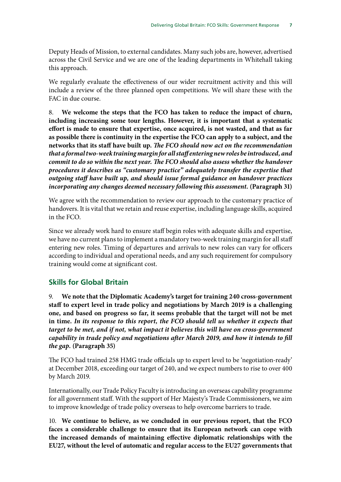Deputy Heads of Mission, to external candidates. Many such jobs are, however, advertised across the Civil Service and we are one of the leading departments in Whitehall taking this approach.

We regularly evaluate the effectiveness of our wider recruitment activity and this will include a review of the three planned open competitions. We will share these with the FAC in due course.

8. **We welcome the steps that the FCO has taken to reduce the impact of churn, including increasing some tour lengths. However, it is important that a systematic effort is made to ensure that expertise, once acquired, is not wasted, and that as far as possible there is continuity in the expertise the FCO can apply to a subject, and the networks that its staff have built up.** *The FCO should now act on the recommendation that a formal two-week training margin for all staff entering new roles be introduced, and commit to do so within the next year. The FCO should also assess whether the handover procedures it describes as "customary practice" adequately transfer the expertise that outgoing staff have built up, and should issue formal guidance on handover practices incorporating any changes deemed necessary following this assessment.* **(Paragraph 31)**

We agree with the recommendation to review our approach to the customary practice of handovers. It is vital that we retain and reuse expertise, including language skills, acquired in the FCO.

Since we already work hard to ensure staff begin roles with adequate skills and expertise, we have no current plans to implement a mandatory two-week training margin for all staff entering new roles. Timing of departures and arrivals to new roles can vary for officers according to individual and operational needs, and any such requirement for compulsory training would come at significant cost.

# **Skills for Global Britain**

9. **We note that the Diplomatic Academy's target for training 240 cross-government staff to expert level in trade policy and negotiations by March 2019 is a challenging one, and based on progress so far, it seems probable that the target will not be met in time.** *In its response to this report, the FCO should tell us whether it expects that target to be met, and if not, what impact it believes this will have on cross-government capability in trade policy and negotiations after March 2019, and how it intends to fill the gap.* **(Paragraph 35)**

The FCO had trained 258 HMG trade officials up to expert level to be 'negotiation-ready' at December 2018, exceeding our target of 240, and we expect numbers to rise to over 400 by March 2019.

Internationally, our Trade Policy Faculty is introducing an overseas capability programme for all government staff. With the support of Her Majesty's Trade Commissioners, we aim to improve knowledge of trade policy overseas to help overcome barriers to trade.

10. **We continue to believe, as we concluded in our previous report, that the FCO faces a considerable challenge to ensure that its European network can cope with the increased demands of maintaining effective diplomatic relationships with the EU27, without the level of automatic and regular access to the EU27 governments that**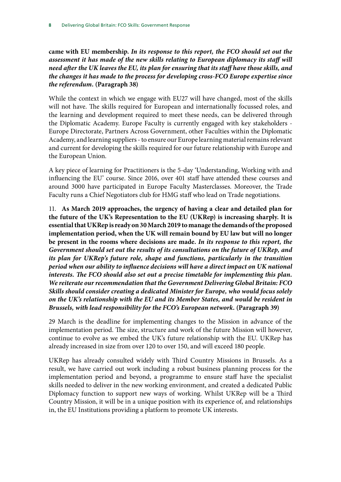**came with EU membership.** *In its response to this report, the FCO should set out the assessment it has made of the new skills relating to European diplomacy its staff will need after the UK leaves the EU, its plan for ensuring that its staff have those skills, and the changes it has made to the process for developing cross-FCO Europe expertise since the referendum.* **(Paragraph 38)**

While the context in which we engage with EU27 will have changed, most of the skills will not have. The skills required for European and internationally focussed roles, and the learning and development required to meet these needs, can be delivered through the Diplomatic Academy. Europe Faculty is currently engaged with key stakeholders - Europe Directorate, Partners Across Government, other Faculties within the Diplomatic Academy, and learning suppliers - to ensure our Europe learning material remains relevant and current for developing the skills required for our future relationship with Europe and the European Union.

A key piece of learning for Practitioners is the 5-day 'Understanding, Working with and influencing the EU' course. Since 2016, over 401 staff have attended these courses and around 3000 have participated in Europe Faculty Masterclasses. Moreover, the Trade Faculty runs a Chief Negotiators club for HMG staff who lead on Trade negotiations.

11. **As March 2019 approaches, the urgency of having a clear and detailed plan for the future of the UK's Representation to the EU (UKRep) is increasing sharply. It is essential that UKRep is ready on 30 March 2019 to manage the demands of the proposed implementation period, when the UK will remain bound by EU law but will no longer be present in the rooms where decisions are made.** *In its response to this report, the Government should set out the results of its consultations on the future of UKRep, and its plan for UKRep's future role, shape and functions, particularly in the transition period when our ability to influence decisions will have a direct impact on UK national interests. The FCO should also set out a precise timetable for implementing this plan. We reiterate our recommendation that the Government Delivering Global Britain: FCO Skills should consider creating a dedicated Minister for Europe, who would focus solely on the UK's relationship with the EU and its Member States, and would be resident in Brussels, with lead responsibility for the FCO's European network.* **(Paragraph 39)**

29 March is the deadline for implementing changes to the Mission in advance of the implementation period. The size, structure and work of the future Mission will however, continue to evolve as we embed the UK's future relationship with the EU. UKRep has already increased in size from over 120 to over 150, and will exceed 180 people.

UKRep has already consulted widely with Third Country Missions in Brussels. As a result, we have carried out work including a robust business planning process for the implementation period and beyond, a programme to ensure staff have the specialist skills needed to deliver in the new working environment, and created a dedicated Public Diplomacy function to support new ways of working. Whilst UKRep will be a Third Country Mission, it will be in a unique position with its experience of, and relationships in, the EU Institutions providing a platform to promote UK interests.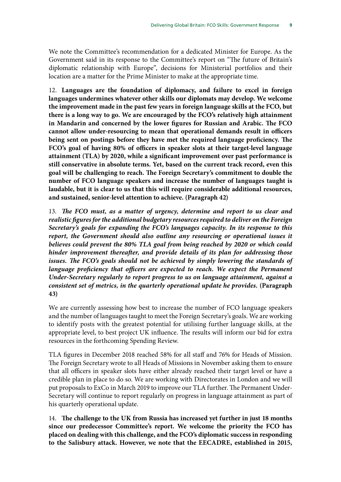We note the Committee's recommendation for a dedicated Minister for Europe. As the Government said in its response to the Committee's report on "The future of Britain's diplomatic relationship with Europe", decisions for Ministerial portfolios and their location are a matter for the Prime Minister to make at the appropriate time.

12. **Languages are the foundation of diplomacy, and failure to excel in foreign languages undermines whatever other skills our diplomats may develop. We welcome the improvement made in the past few years in foreign language skills at the FCO, but there is a long way to go. We are encouraged by the FCO's relatively high attainment in Mandarin and concerned by the lower figures for Russian and Arabic. The FCO cannot allow under-resourcing to mean that operational demands result in officers being sent on postings before they have met the required language proficiency. The FCO's goal of having 80% of officers in speaker slots at their target-level language attainment (TLA) by 2020, while a significant improvement over past performance is still conservative in absolute terms. Yet, based on the current track record, even this goal will be challenging to reach. The Foreign Secretary's commitment to double the number of FCO language speakers and increase the number of languages taught is laudable, but it is clear to us that this will require considerable additional resources, and sustained, senior-level attention to achieve. (Paragraph 42)**

13. *The FCO must, as a matter of urgency, determine and report to us clear and realistic figures for the additional budgetary resources required to deliver on the Foreign Secretary's goals for expanding the FCO's languages capacity. In its response to this*  report, the Government should also outline any resourcing or operational issues it *believes could prevent the 80% TLA goal from being reached by 2020 or which could hinder improvement thereafter, and provide details of its plan for addressing those*  issues. The FCO's goals should not be achieved by simply lowering the standards of *language proficiency that officers are expected to reach. We expect the Permanent Under-Secretary regularly to report progress to us on language attainment, against a consistent set of metrics, in the quarterly operational update he provides.* **(Paragraph 43)**

We are currently assessing how best to increase the number of FCO language speakers and the number of languages taught to meet the Foreign Secretary's goals. We are working to identify posts with the greatest potential for utilising further language skills, at the appropriate level, to best project UK influence. The results will inform our bid for extra resources in the forthcoming Spending Review.

TLA figures in December 2018 reached 58% for all staff and 76% for Heads of Mission. The Foreign Secretary wrote to all Heads of Missions in November asking them to ensure that all officers in speaker slots have either already reached their target level or have a credible plan in place to do so. We are working with Directorates in London and we will put proposals to ExCo in March 2019 to improve our TLA further. The Permanent Under-Secretary will continue to report regularly on progress in language attainment as part of his quarterly operational update.

14. **The challenge to the UK from Russia has increased yet further in just 18 months since our predecessor Committee's report. We welcome the priority the FCO has placed on dealing with this challenge, and the FCO's diplomatic success in responding to the Salisbury attack. However, we note that the EECADRE, established in 2015,**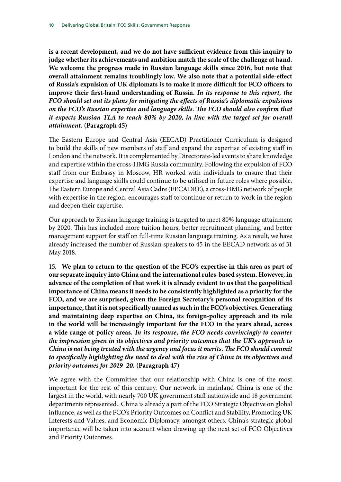**is a recent development, and we do not have sufficient evidence from this inquiry to judge whether its achievements and ambition match the scale of the challenge at hand. We welcome the progress made in Russian language skills since 2016, but note that overall attainment remains troublingly low. We also note that a potential side-effect of Russia's expulsion of UK diplomats is to make it more difficult for FCO officers to improve their first-hand understanding of Russia.** *In its response to this report, the FCO should set out its plans for mitigating the effects of Russia's diplomatic expulsions on the FCO's Russian expertise and language skills. The FCO should also confirm that it expects Russian TLA to reach 80% by 2020, in line with the target set for overall attainment.* **(Paragraph 45)**

The Eastern Europe and Central Asia (EECAD) Practitioner Curriculum is designed to build the skills of new members of staff and expand the expertise of existing staff in London and the network. It is complemented by Directorate-led events to share knowledge and expertise within the cross-HMG Russia community. Following the expulsion of FCO staff from our Embassy in Moscow, HR worked with individuals to ensure that their expertise and language skills could continue to be utilised in future roles where possible. The Eastern Europe and Central Asia Cadre (EECADRE), a cross-HMG network of people with expertise in the region, encourages staff to continue or return to work in the region and deepen their expertise.

Our approach to Russian language training is targeted to meet 80% language attainment by 2020. This has included more tuition hours, better recruitment planning, and better management support for staff on full-time Russian language training. As a result, we have already increased the number of Russian speakers to 45 in the EECAD network as of 31 May 2018.

15. **We plan to return to the question of the FCO's expertise in this area as part of our separate inquiry into China and the international rules-based system. However, in advance of the completion of that work it is already evident to us that the geopolitical importance of China means it needs to be consistently highlighted as a priority for the FCO, and we are surprised, given the Foreign Secretary's personal recognition of its importance, that it is not specifically named as such in the FCO's objectives. Generating and maintaining deep expertise on China, its foreign-policy approach and its role in the world will be increasingly important for the FCO in the years ahead, across a wide range of policy areas.** *In its response, the FCO needs convincingly to counter the impression given in its objectives and priority outcomes that the UK's approach to China is not being treated with the urgency and focus it merits. The FCO should commit to specifically highlighting the need to deal with the rise of China in its objectives and priority outcomes for 2019–20.* **(Paragraph 47)**

We agree with the Committee that our relationship with China is one of the most important for the rest of this century. Our network in mainland China is one of the largest in the world, with nearly 700 UK government staff nationwide and 18 government departments represented.. China is already a part of the FCO Strategic Objective on global influence, as well as the FCO's Priority Outcomes on Conflict and Stability, Promoting UK Interests and Values, and Economic Diplomacy, amongst others. China's strategic global importance will be taken into account when drawing up the next set of FCO Objectives and Priority Outcomes.